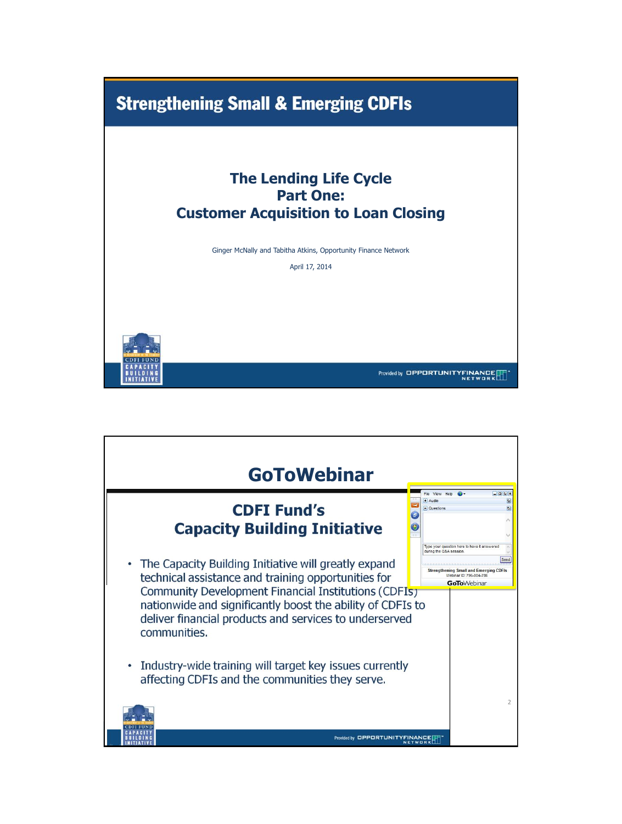

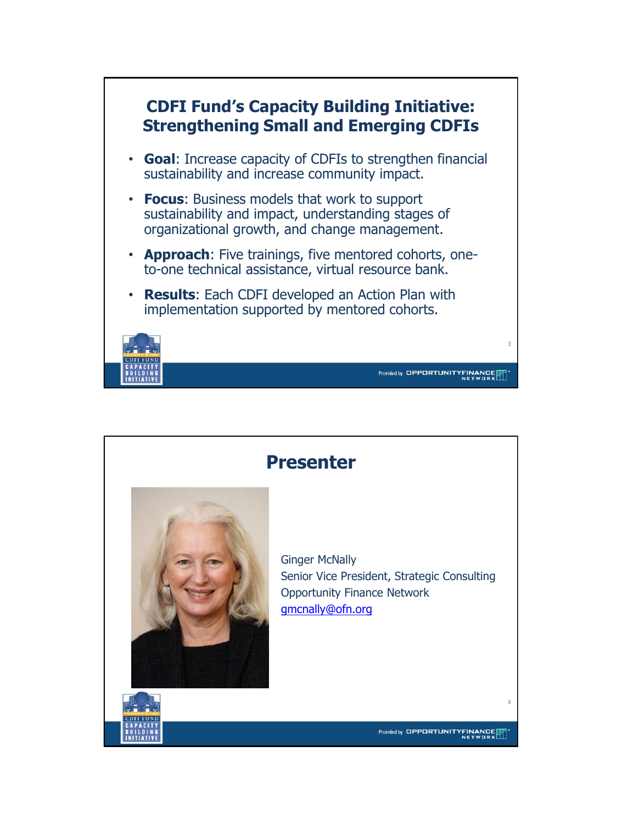

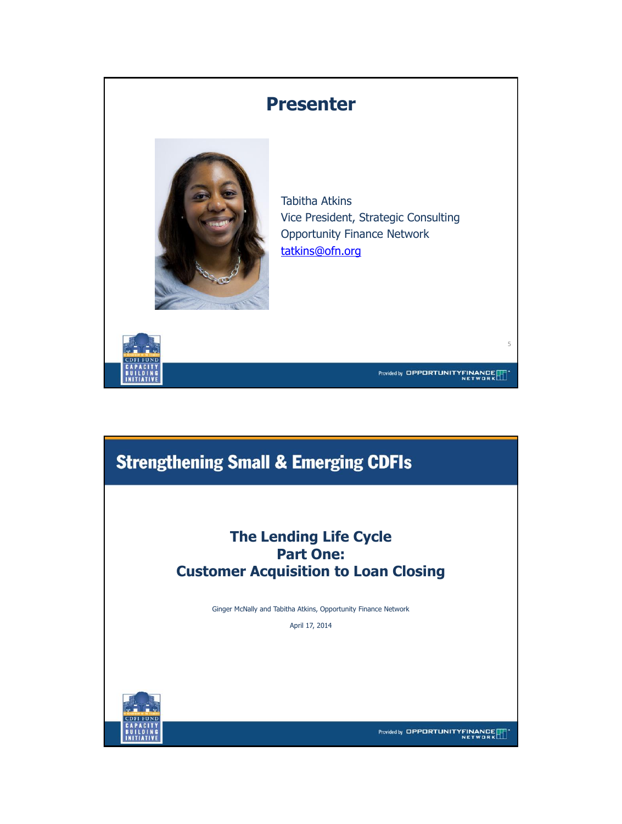### **Presenter**



Tabitha Atkins Vice President, Strategic Consulting Opportunity Finance Network [tatkins@ofn.org](mailto:tatkins@ofn.org)



Provided by OPPORTUNITYFINANCE

5

## **Strengthening Small & Emerging CDFIs**

### **The Lending Life Cycle Part One: Customer Acquisition to Loan Closing**

Ginger McNally and Tabitha Atkins, Opportunity Finance Network

April 17, 2014



Provided by OPPORTUNITYFINANCE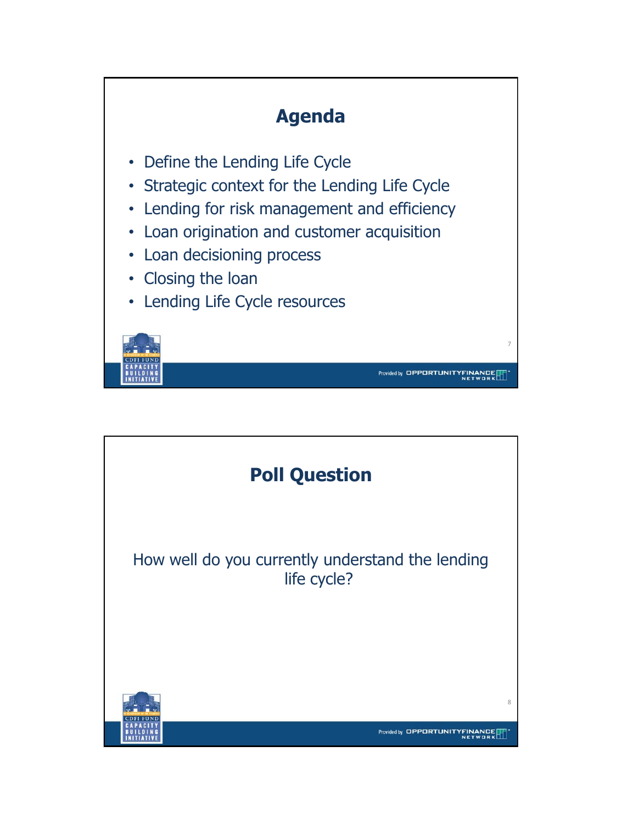

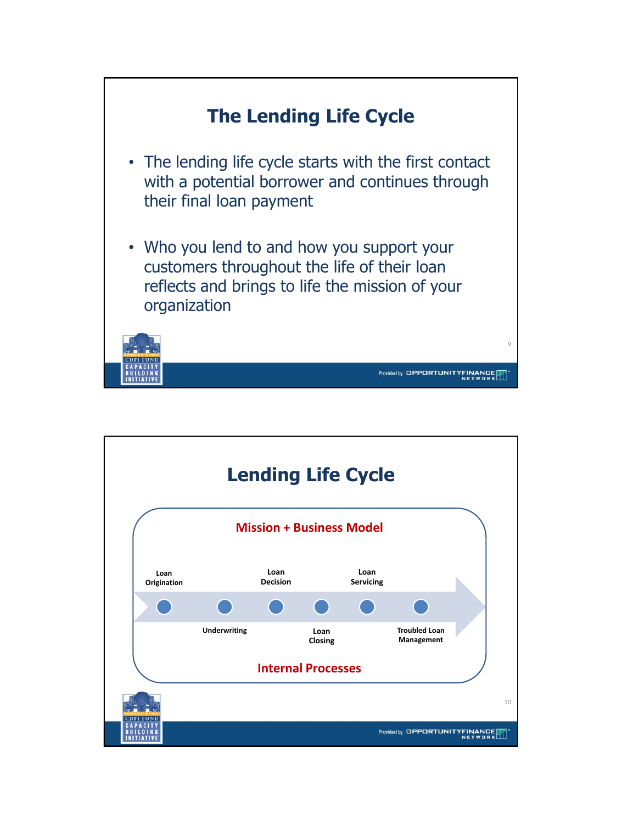

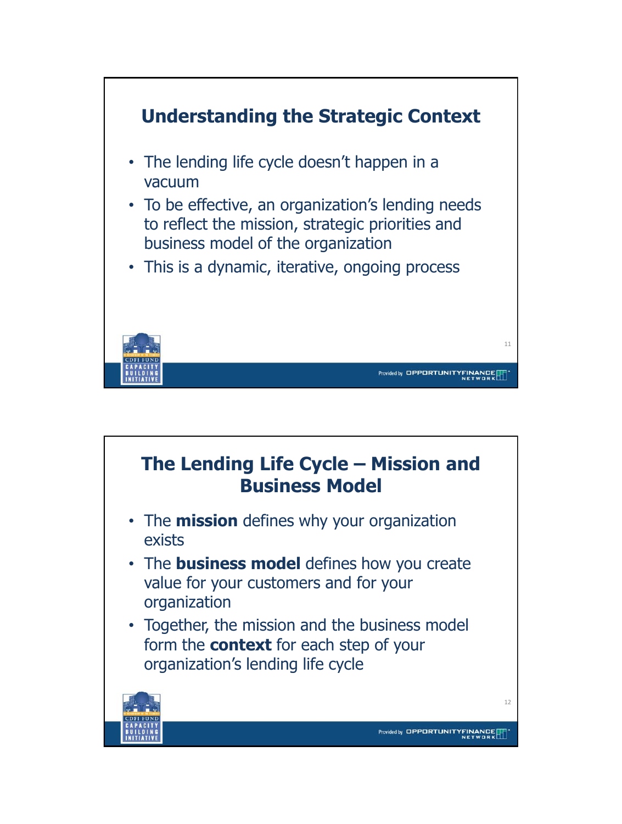

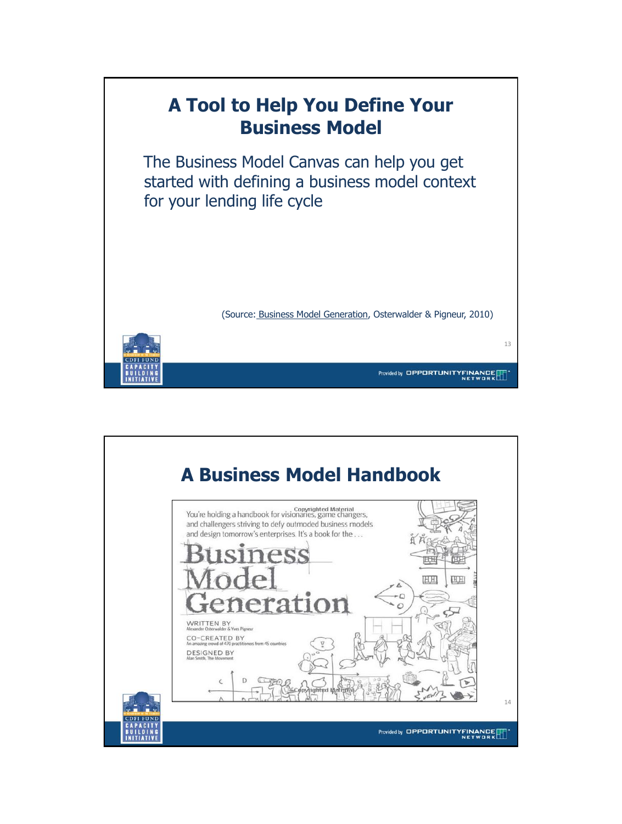

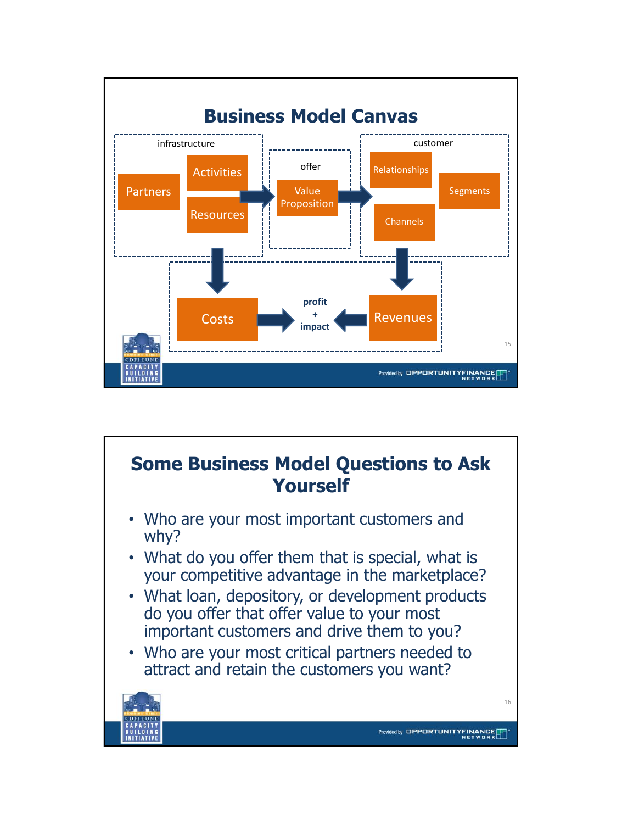

# **Some Business Model Questions to Ask Yourself**

- Who are your most important customers and why?
- What do you offer them that is special, what is your competitive advantage in the marketplace?
- What loan, depository, or development products do you offer that offer value to your most important customers and drive them to you?
- Who are your most critical partners needed to attract and retain the customers you want?



16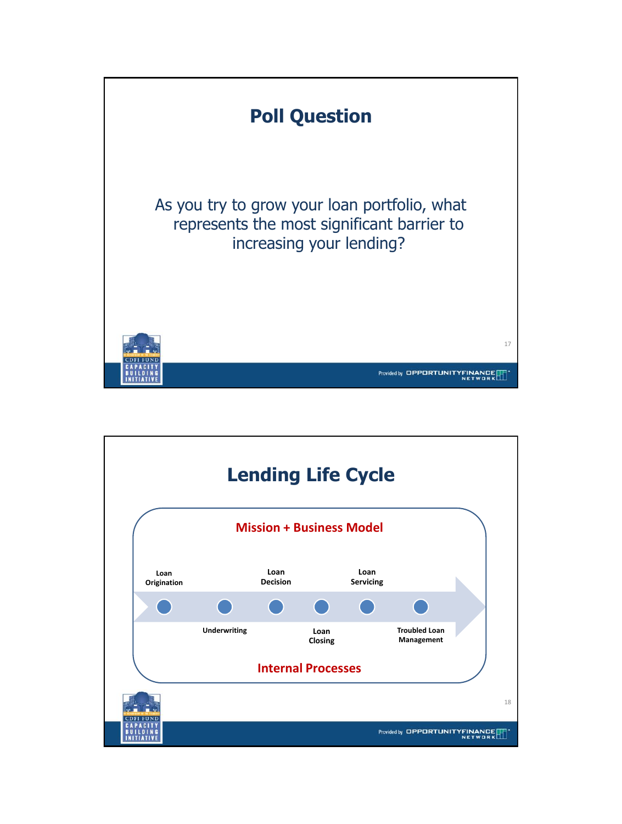

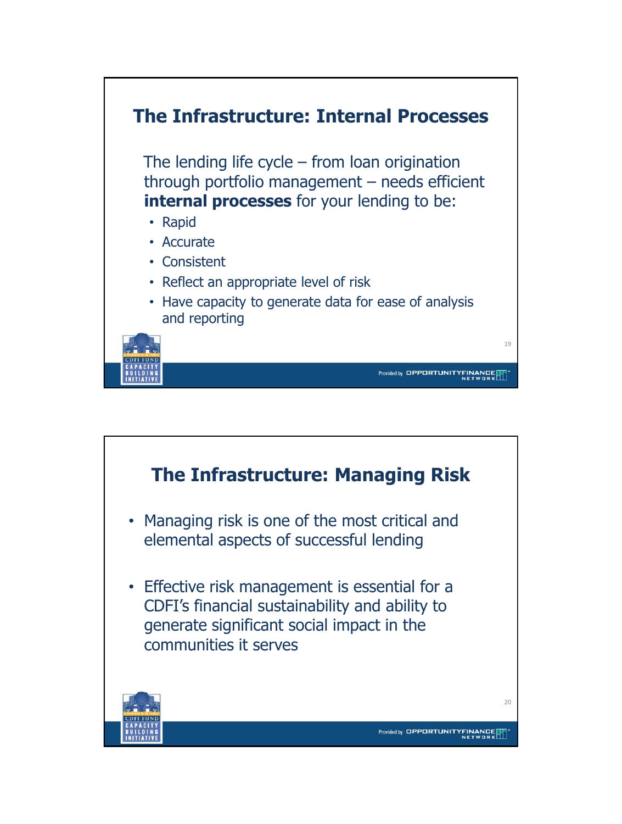

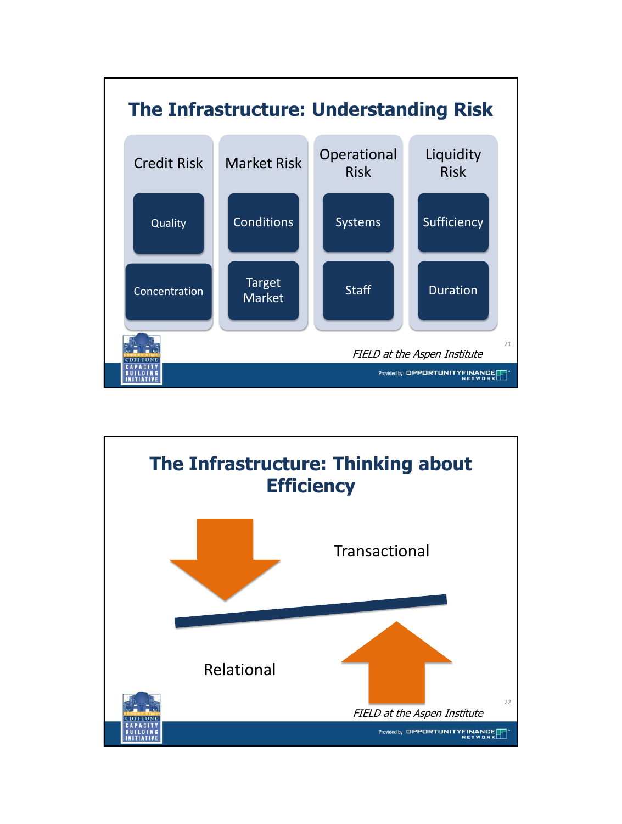

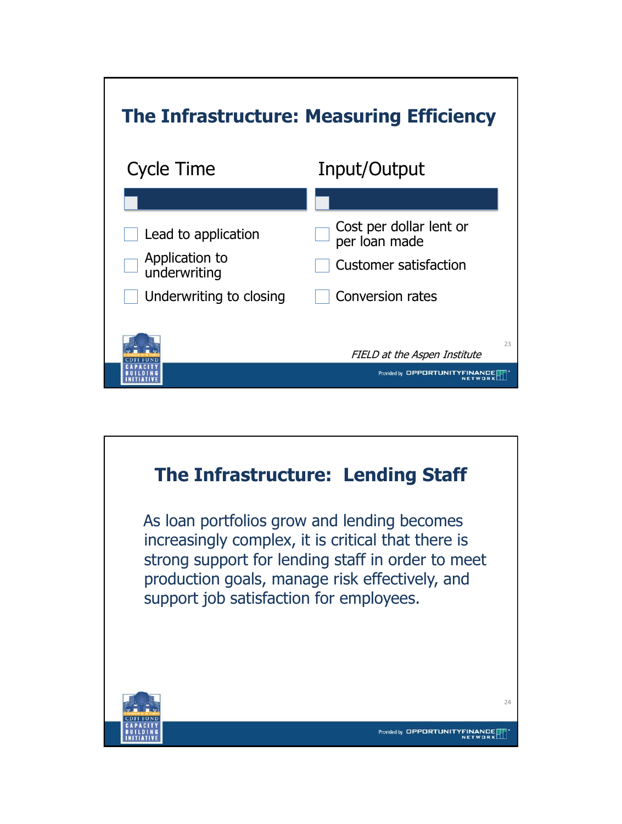

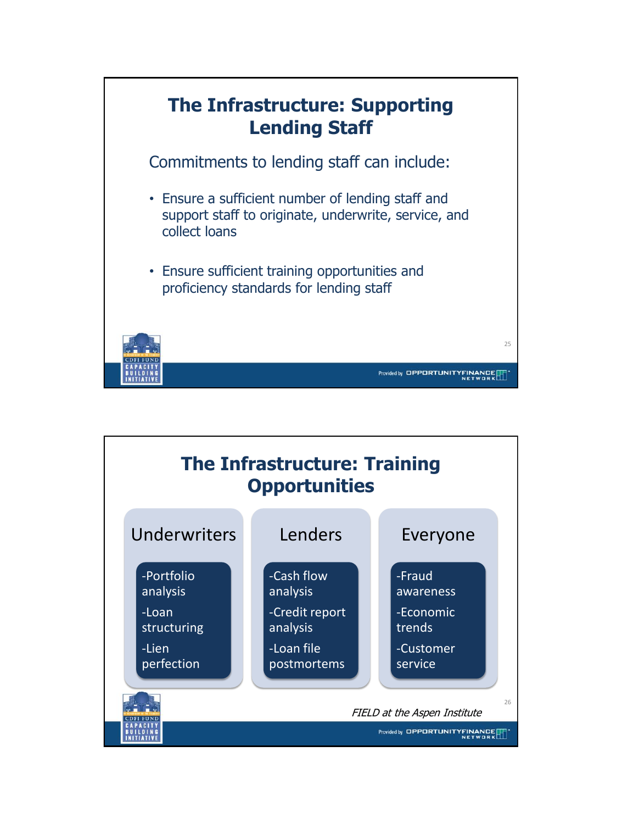

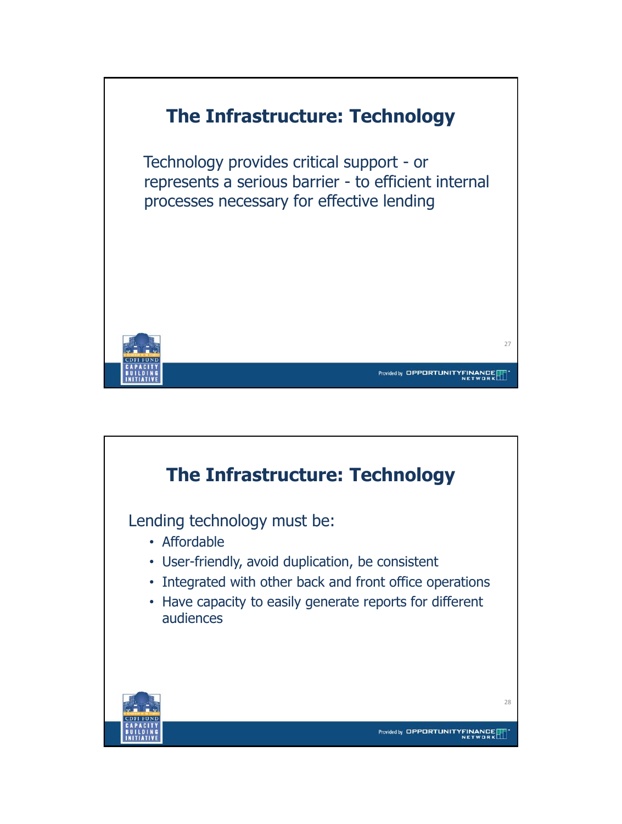

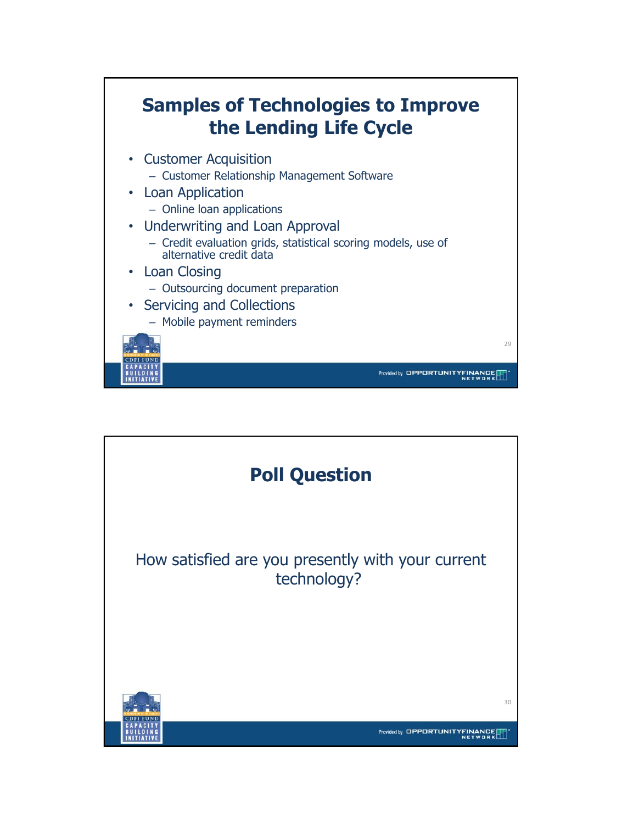

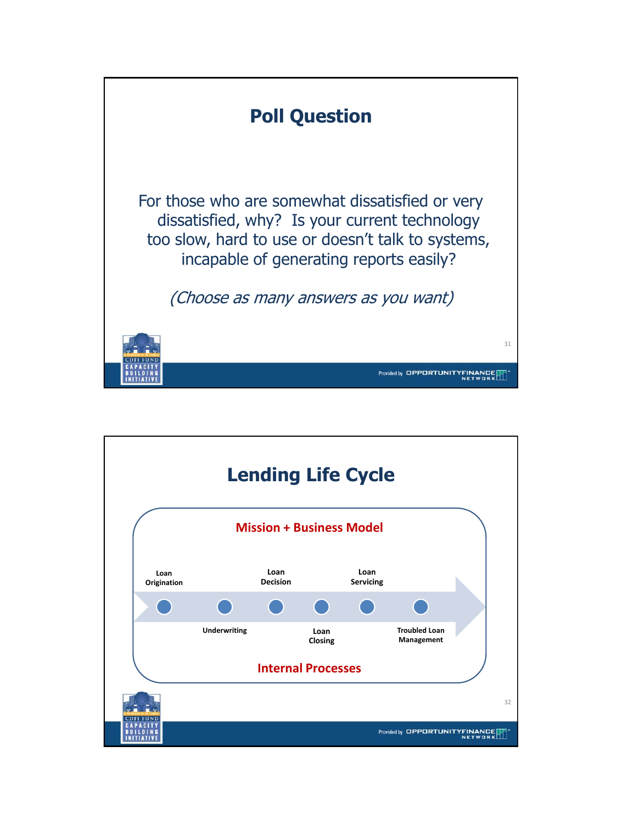

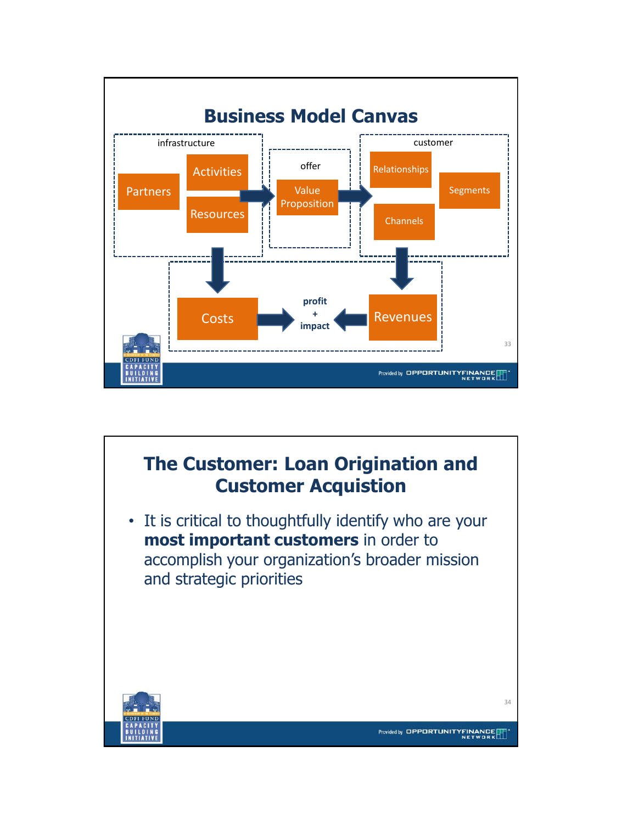

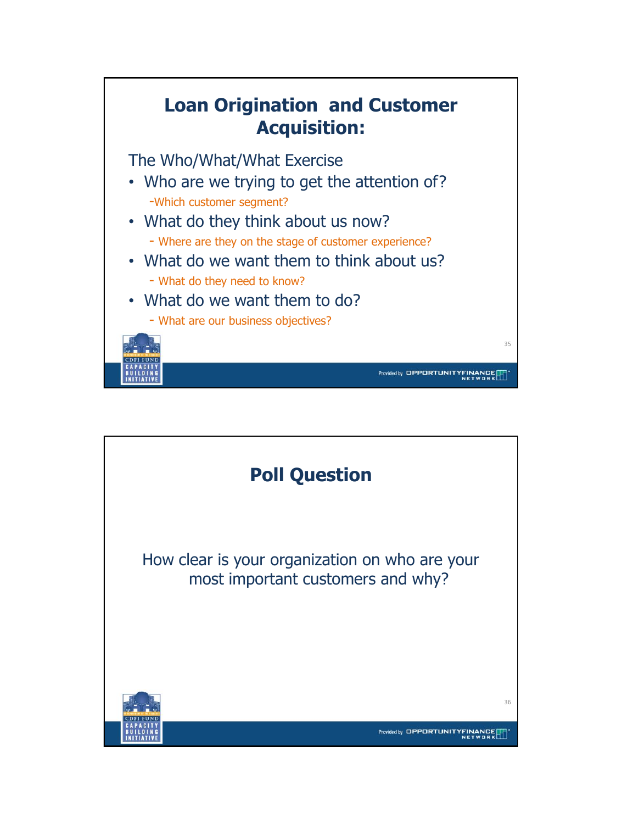

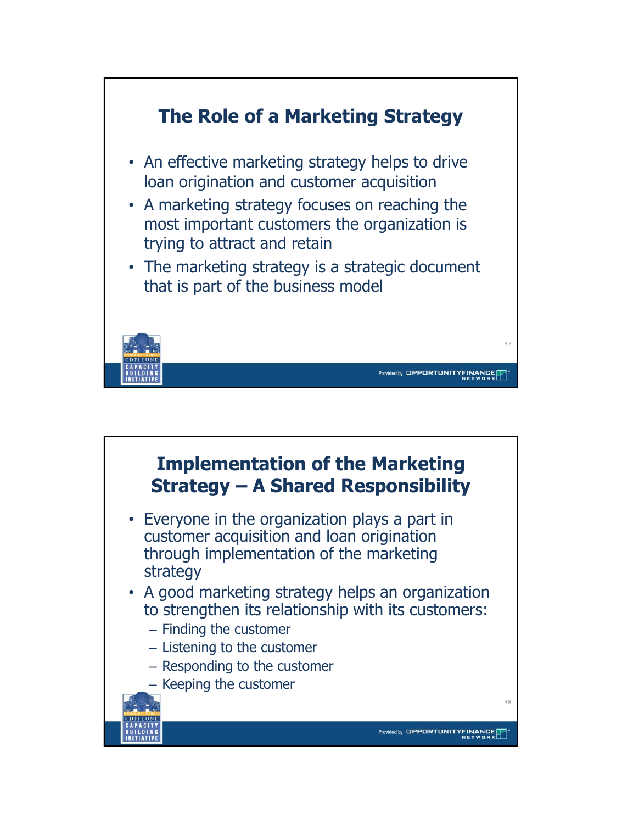

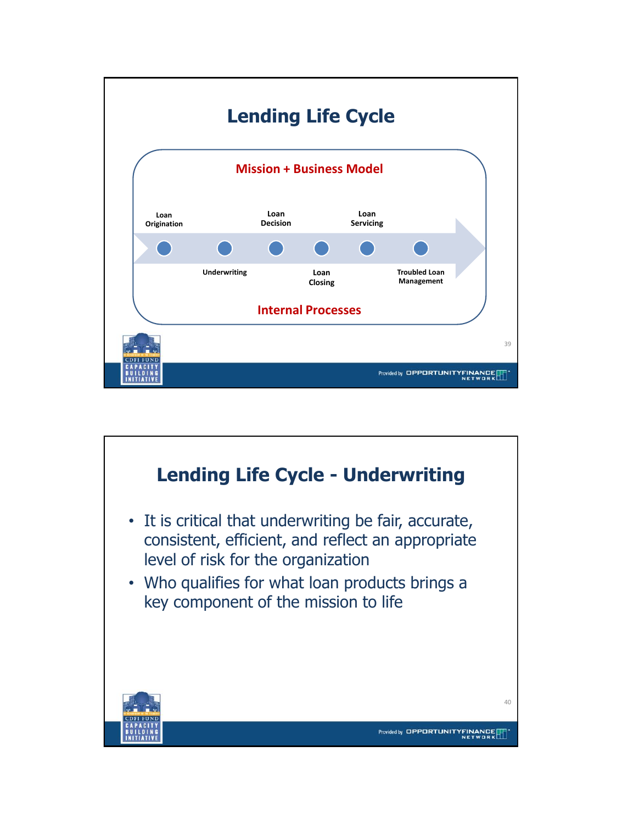

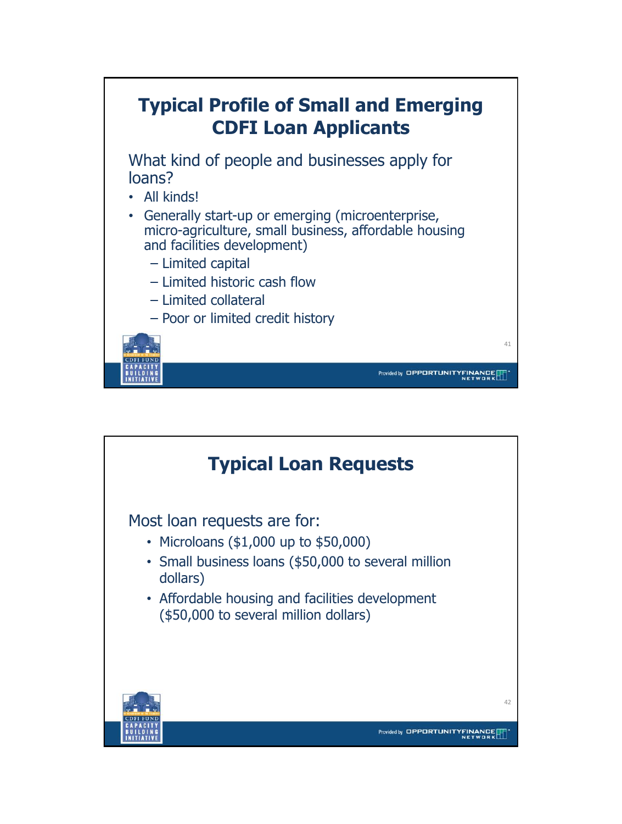

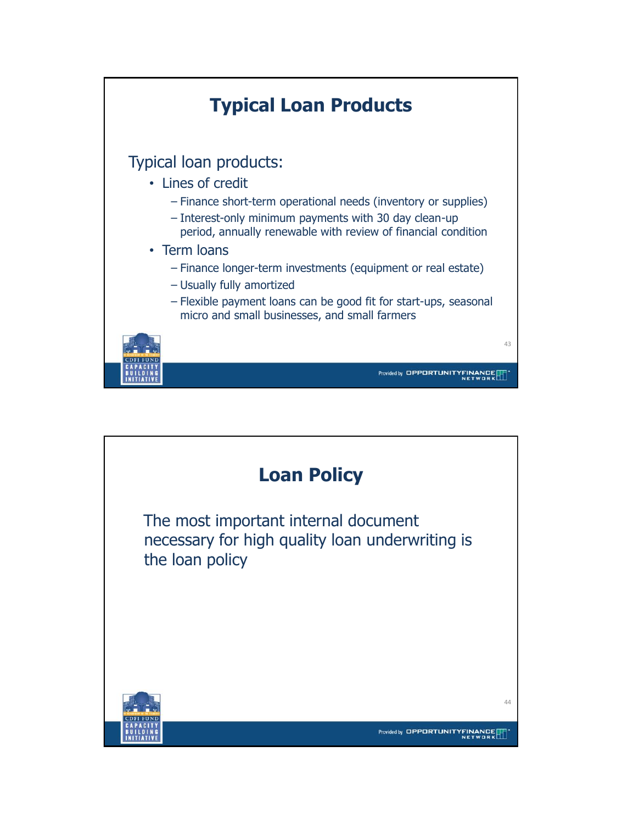

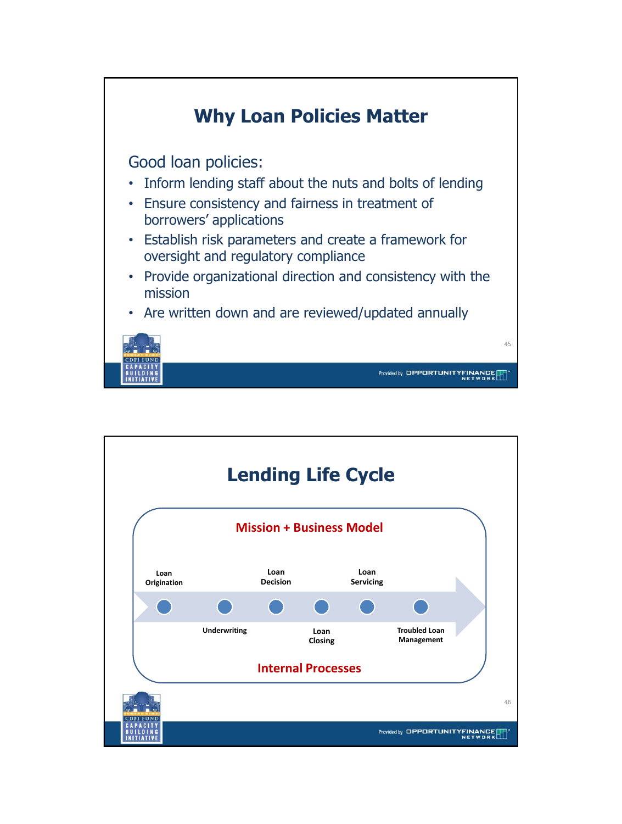

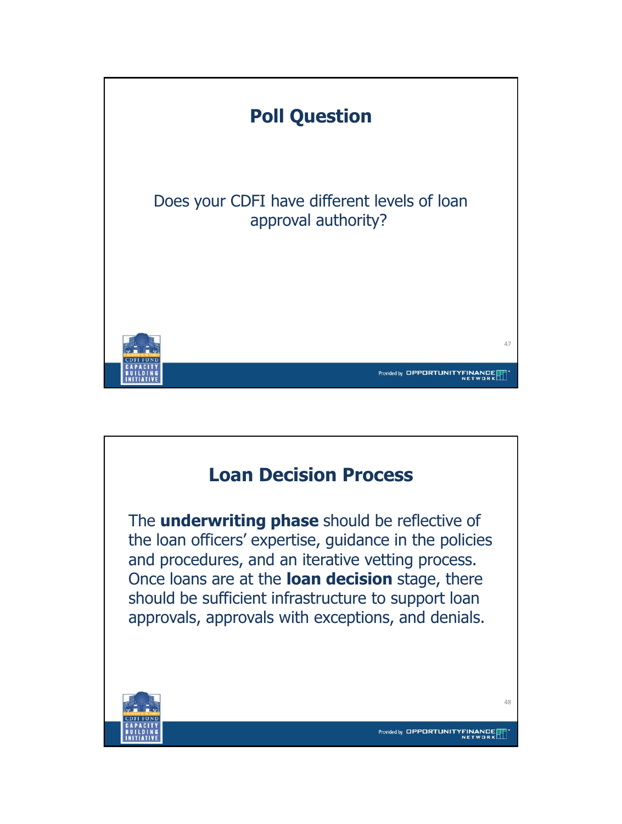

## **Loan Decision Process**

The **underwriting phase** should be reflective of the loan officers' expertise, guidance in the policies and procedures, and an iterative vetting process. Once loans are at the **loan decision** stage, there should be sufficient infrastructure to support loan approvals, approvals with exceptions, and denials.



48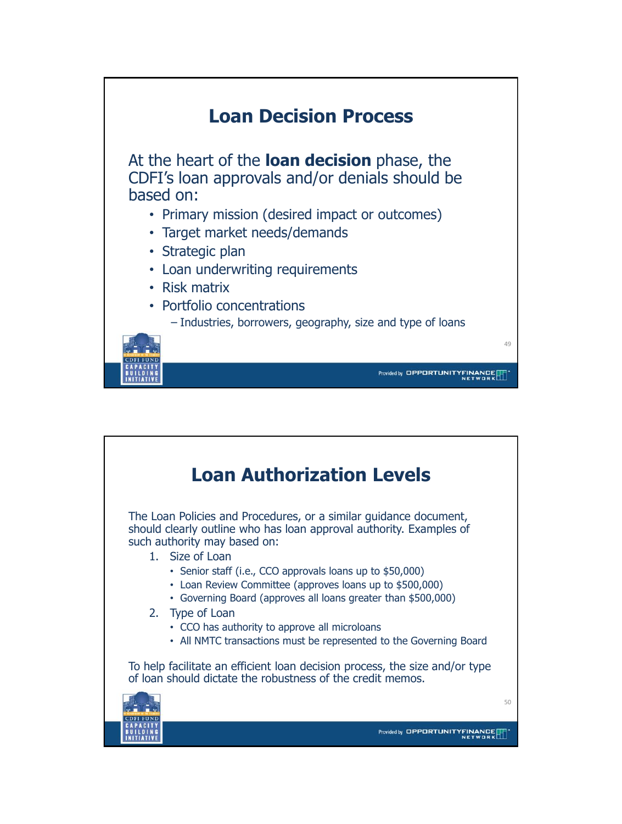

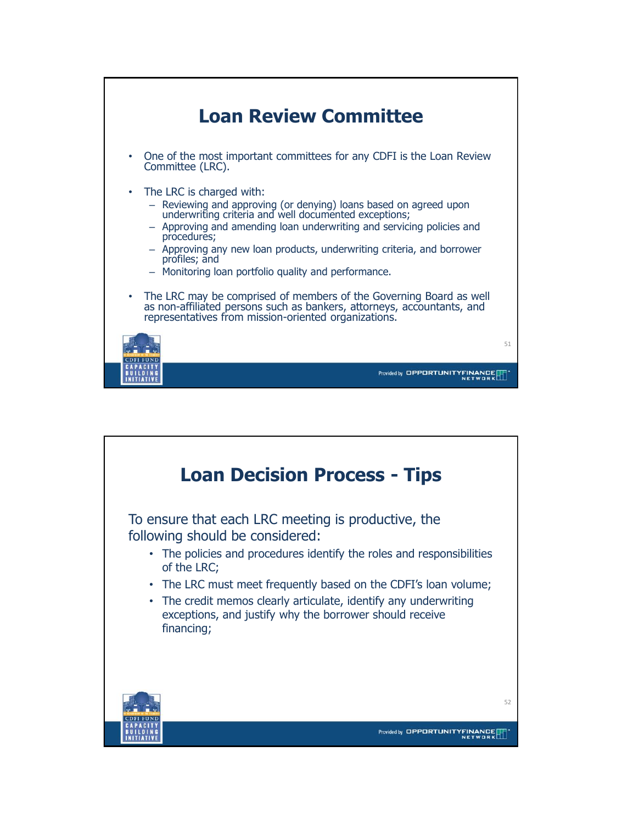

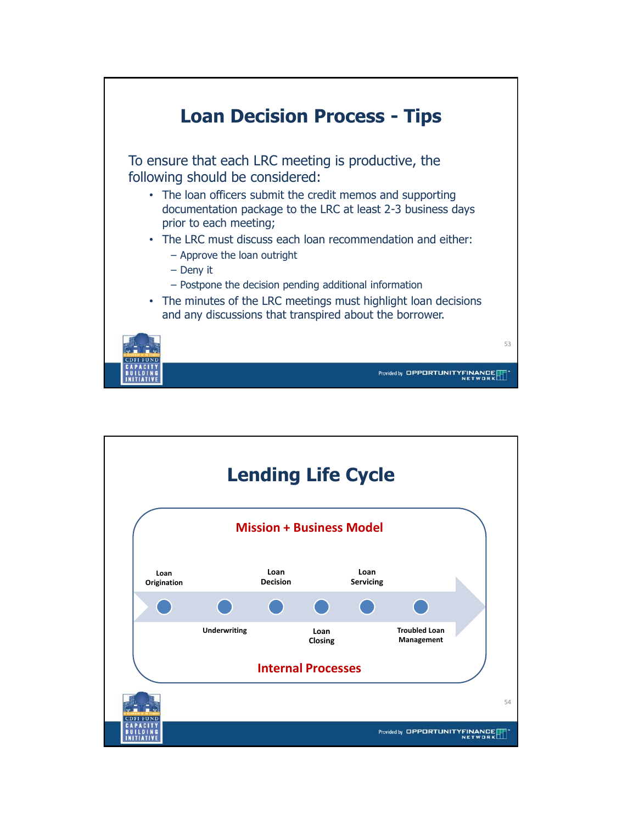

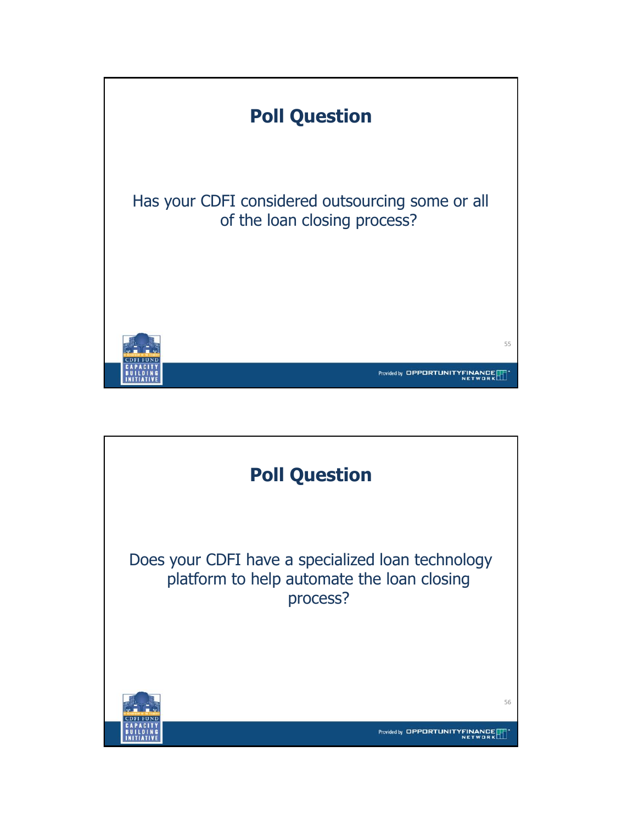

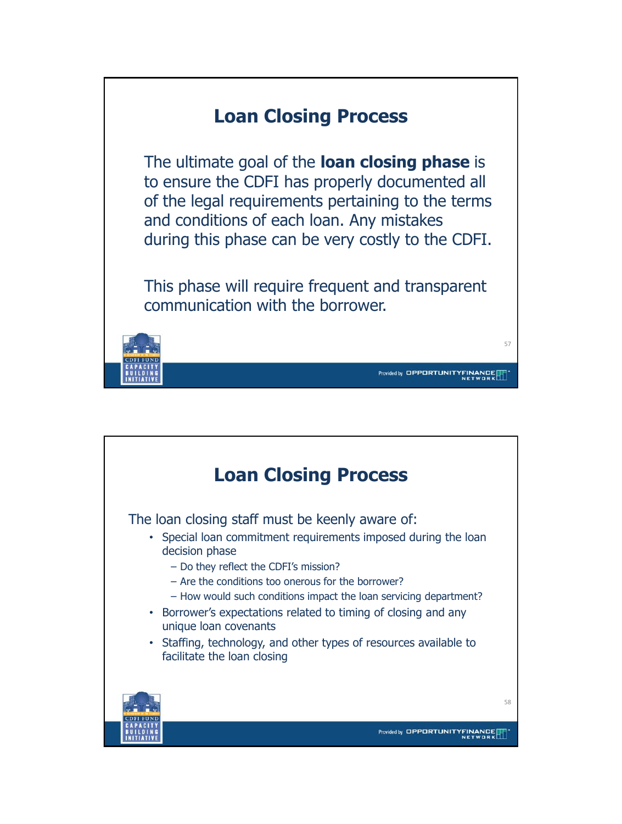

![](_page_28_Picture_1.jpeg)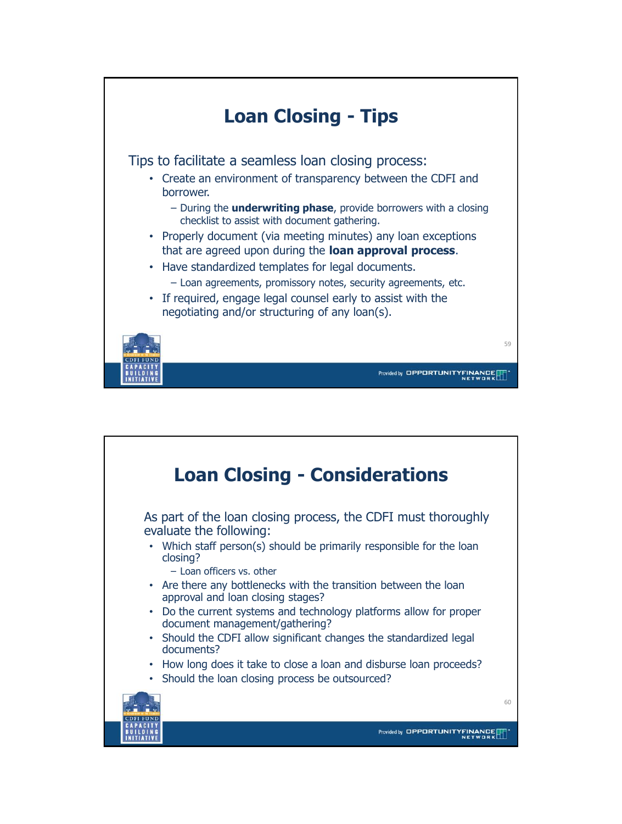![](_page_29_Picture_0.jpeg)

![](_page_29_Picture_1.jpeg)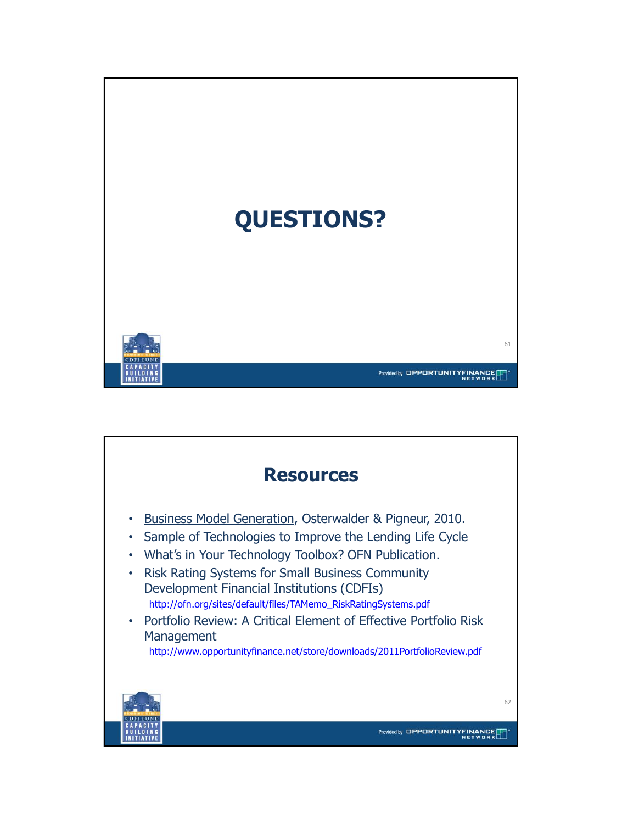![](_page_30_Picture_0.jpeg)

![](_page_30_Picture_1.jpeg)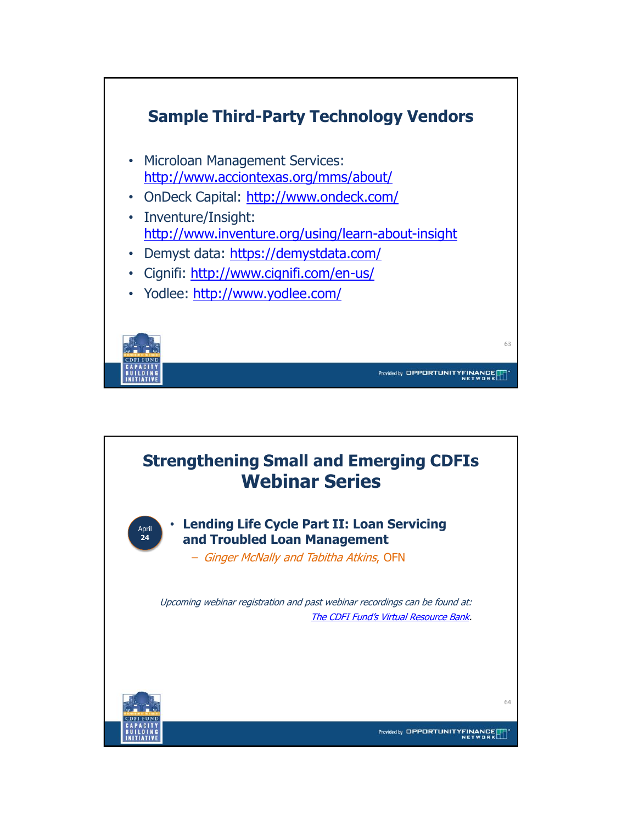![](_page_31_Figure_0.jpeg)

![](_page_31_Picture_1.jpeg)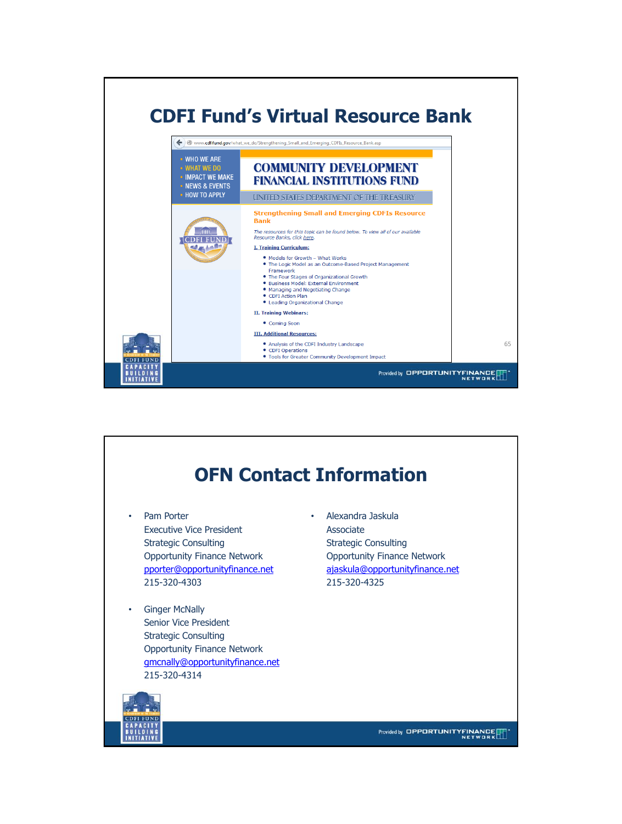![](_page_32_Picture_0.jpeg)

![](_page_32_Picture_1.jpeg)